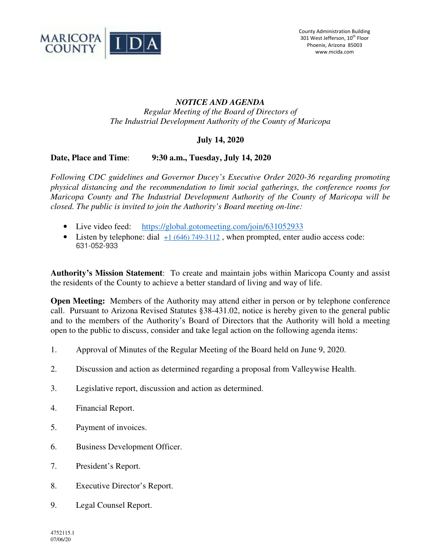

## *NOTICE AND AGENDA Regular Meeting of the Board of Directors of The Industrial Development Authority of the County of Maricopa*

# **July 14, 2020**

## **Date, Place and Time**: **9:30 a.m., Tuesday, July 14, 2020**

*Following CDC guidelines and Governor Ducey's Executive Order 2020-36 regarding promoting physical distancing and the recommendation to limit social gatherings, the conference rooms for Maricopa County and The Industrial Development Authority of the County of Maricopa will be closed. The public is invited to join the Authority's Board meeting on-line:* 

- Live video feed: https://global.gotomeeting.com/join/631052933
- Listen by telephone: dial  $+1$  (646) 749-3112, when prompted, enter audio access code: 631-052-933

**Authority's Mission Statement**: To create and maintain jobs within Maricopa County and assist the residents of the County to achieve a better standard of living and way of life.

**Open Meeting:** Members of the Authority may attend either in person or by telephone conference call. Pursuant to Arizona Revised Statutes §38-431.02, notice is hereby given to the general public and to the members of the Authority's Board of Directors that the Authority will hold a meeting open to the public to discuss, consider and take legal action on the following agenda items:

- 1. Approval of Minutes of the Regular Meeting of the Board held on June 9, 2020.
- 2. Discussion and action as determined regarding a proposal from Valleywise Health.
- 3. Legislative report, discussion and action as determined.
- 4. Financial Report.
- 5. Payment of invoices.
- 6. Business Development Officer.
- 7. President's Report.
- 8. Executive Director's Report.
- 9. Legal Counsel Report.